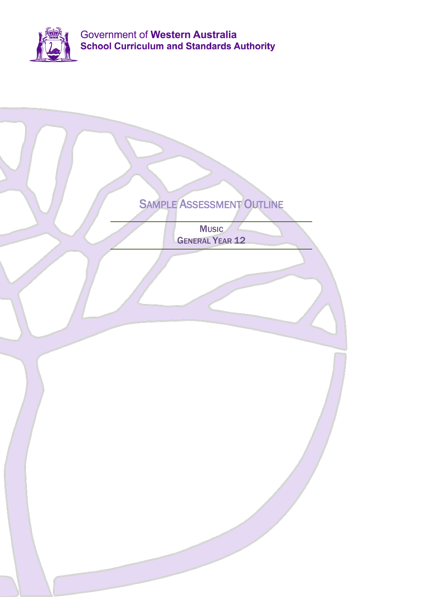

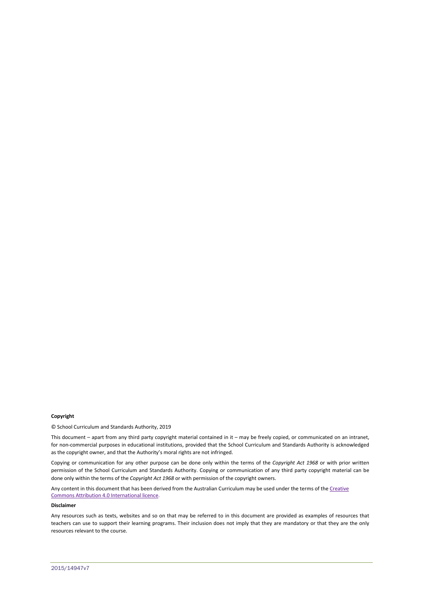#### **Copyright**

© School Curriculum and Standards Authority, 2019

This document – apart from any third party copyright material contained in it – may be freely copied, or communicated on an intranet, for non-commercial purposes in educational institutions, provided that the School Curriculum and Standards Authority is acknowledged as the copyright owner, and that the Authority's moral rights are not infringed.

Copying or communication for any other purpose can be done only within the terms of the *Copyright Act 1968* or with prior written permission of the School Curriculum and Standards Authority. Copying or communication of any third party copyright material can be done only within the terms of the *Copyright Act 1968* or with permission of the copyright owners.

Any content in this document that has been derived from the Australian Curriculum may be used under the terms of the Creative [Commons Attribution 4.0 International licence.](https://creativecommons.org/licenses/by/4.0/)

#### **Disclaimer**

Any resources such as texts, websites and so on that may be referred to in this document are provided as examples of resources that teachers can use to support their learning programs. Their inclusion does not imply that they are mandatory or that they are the only resources relevant to the course.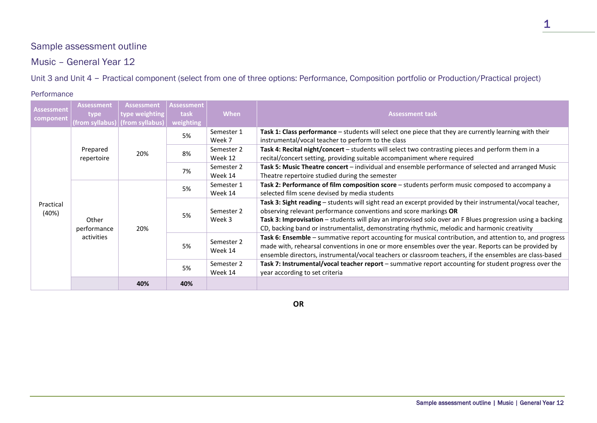# Sample assessment outline

Music – General Year 12

Unit 3 and Unit 4 – Practical component (select from one of three options: Performance, Composition portfolio or Production/Practical project)

#### Performance

| <b>Assessment</b><br>component | <b>Assessment</b><br>type<br>(from syllabus) | <b>Assessment</b><br>type weighting $\mid$<br>(from syllabus) | <b>Assessment</b><br>task<br>weighting | When                  | <b>Assessment task</b>                                                                                                                                                                                                                                                                                                                                                                     |
|--------------------------------|----------------------------------------------|---------------------------------------------------------------|----------------------------------------|-----------------------|--------------------------------------------------------------------------------------------------------------------------------------------------------------------------------------------------------------------------------------------------------------------------------------------------------------------------------------------------------------------------------------------|
| Practical<br>(40%)             | Prepared<br>repertoire                       | 20%                                                           | 5%                                     | Semester 1<br>Week 7  | Task 1: Class performance - students will select one piece that they are currently learning with their<br>instrumental/vocal teacher to perform to the class                                                                                                                                                                                                                               |
|                                |                                              |                                                               | 8%                                     | Semester 2<br>Week 12 | Task 4: Recital night/concert - students will select two contrasting pieces and perform them in a<br>recital/concert setting, providing suitable accompaniment where required                                                                                                                                                                                                              |
|                                |                                              |                                                               | 7%                                     | Semester 2<br>Week 14 | Task 5: Music Theatre concert - individual and ensemble performance of selected and arranged Music<br>Theatre repertoire studied during the semester                                                                                                                                                                                                                                       |
|                                | Other<br>performance<br>activities           | 20%                                                           | 5%                                     | Semester 1<br>Week 14 | Task 2: Performance of film composition score - students perform music composed to accompany a<br>selected film scene devised by media students                                                                                                                                                                                                                                            |
|                                |                                              |                                                               | 5%                                     | Semester 2<br>Week 3  | Task 3: Sight reading - students will sight read an excerpt provided by their instrumental/vocal teacher,<br>observing relevant performance conventions and score markings OR<br>Task 3: Improvisation - students will play an improvised solo over an F Blues progression using a backing<br>CD, backing band or instrumentalist, demonstrating rhythmic, melodic and harmonic creativity |
|                                |                                              |                                                               | 5%                                     | Semester 2<br>Week 14 | Task 6: Ensemble - summative report accounting for musical contribution, and attention to, and progress<br>made with, rehearsal conventions in one or more ensembles over the year. Reports can be provided by<br>ensemble directors, instrumental/vocal teachers or classroom teachers, if the ensembles are class-based                                                                  |
|                                |                                              |                                                               | 5%                                     | Semester 2<br>Week 14 | Task 7: Instrumental/vocal teacher report - summative report accounting for student progress over the<br>year according to set criteria                                                                                                                                                                                                                                                    |
|                                |                                              | 40%                                                           | 40%                                    |                       |                                                                                                                                                                                                                                                                                                                                                                                            |

1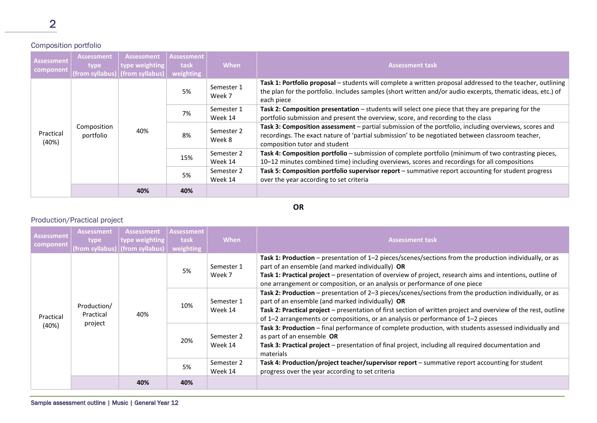### Composition portfolio

| Assessment <sup>1</sup><br>component | <b>Assessment</b><br>type<br>(from syllabus) | Assessment<br>type weighting<br>(from syllabus) | <b>Assessment</b><br>task<br>weighting | <b>When</b>           | <b>Assessment task</b>                                                                                                                                                                                                                     |
|--------------------------------------|----------------------------------------------|-------------------------------------------------|----------------------------------------|-----------------------|--------------------------------------------------------------------------------------------------------------------------------------------------------------------------------------------------------------------------------------------|
| Practical<br>(40%)                   | Composition<br>portfolio                     | 40%                                             | 5%                                     | Semester 1<br>Week 7  | Task 1: Portfolio proposal - students will complete a written proposal addressed to the teacher, outlining<br>the plan for the portfolio. Includes samples (short written and/or audio excerpts, thematic ideas, etc.) of<br>each piece    |
|                                      |                                              |                                                 | 7%                                     | Semester 1<br>Week 14 | Task 2: Composition presentation - students will select one piece that they are preparing for the<br>portfolio submission and present the overview, score, and recording to the class                                                      |
|                                      |                                              |                                                 | 8%                                     | Semester 2<br>Week 8  | Task 3: Composition assessment - partial submission of the portfolio, including overviews, scores and<br>recordings. The exact nature of 'partial submission' to be negotiated between classroom teacher,<br>composition tutor and student |
|                                      |                                              |                                                 | 15%                                    | Semester 2<br>Week 14 | Task 4: Composition portfolio - submission of complete portfolio (minimum of two contrasting pieces,<br>10-12 minutes combined time) including overviews, scores and recordings for all compositions                                       |
|                                      |                                              |                                                 | 5%                                     | Semester 2<br>Week 14 | Task 5: Composition portfolio supervisor report - summative report accounting for student progress<br>over the year according to set criteria                                                                                              |
|                                      |                                              | 40%                                             | 40%                                    |                       |                                                                                                                                                                                                                                            |

**OR**

## Production/Practical project

| Assessment<br>component | <b>Assessment</b><br>type<br>(from syllabus) | Assessment<br>type weighting<br>(from syllabus) | <b>Assessment</b><br>task<br>weighting | <b>When</b>           | <b>Assessment task</b>                                                                                                                                                                                                                                                                                                                                            |
|-------------------------|----------------------------------------------|-------------------------------------------------|----------------------------------------|-----------------------|-------------------------------------------------------------------------------------------------------------------------------------------------------------------------------------------------------------------------------------------------------------------------------------------------------------------------------------------------------------------|
| Practical<br>(40%)      | Production/<br>Practical<br>project          | 40%                                             | 5%                                     | Semester 1<br>Week 7  | Task 1: Production – presentation of 1–2 pieces/scenes/sections from the production individually, or as<br>part of an ensemble (and marked individually) OR<br>Task 1: Practical project – presentation of overview of project, research aims and intentions, outline of<br>one arrangement or composition, or an analysis or performance of one piece            |
|                         |                                              |                                                 | 10%                                    | Semester 1<br>Week 14 | Task 2: Production - presentation of 2-3 pieces/scenes/sections from the production individually, or as<br>part of an ensemble (and marked individually) OR<br>Task 2: Practical project - presentation of first section of written project and overview of the rest, outline<br>of 1–2 arrangements or compositions, or an analysis or performance of 1–2 pieces |
|                         |                                              |                                                 | 20%                                    | Semester 2<br>Week 14 | Task 3: Production - final performance of complete production, with students assessed individually and<br>as part of an ensemble OR<br>Task 3: Practical project - presentation of final project, including all required documentation and<br>materials                                                                                                           |
|                         |                                              |                                                 | 5%                                     | Semester 2<br>Week 14 | Task 4: Production/project teacher/supervisor report – summative report accounting for student<br>progress over the year according to set criteria                                                                                                                                                                                                                |
|                         |                                              | 40%                                             | 40%                                    |                       |                                                                                                                                                                                                                                                                                                                                                                   |